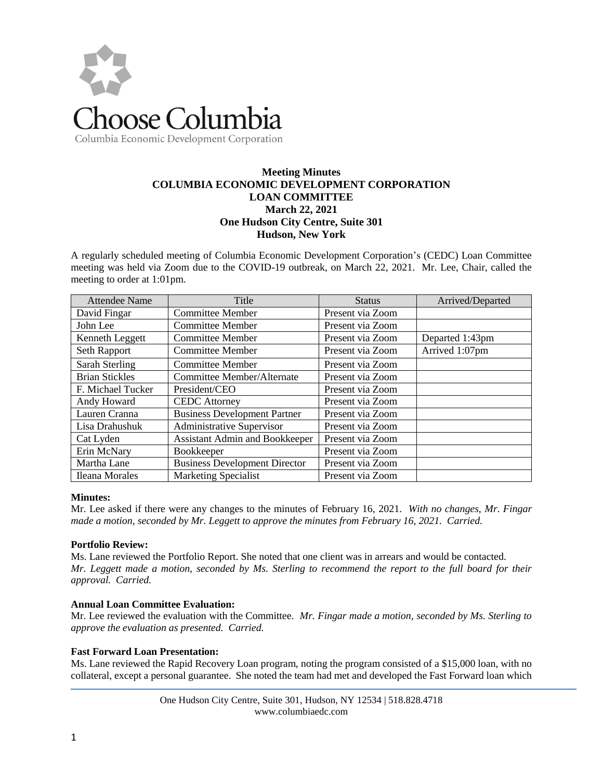

# Columbia Economic Development Corporation

# **Meeting Minutes COLUMBIA ECONOMIC DEVELOPMENT CORPORATION LOAN COMMITTEE March 22, 2021 One Hudson City Centre, Suite 301 Hudson, New York**

A regularly scheduled meeting of Columbia Economic Development Corporation's (CEDC) Loan Committee meeting was held via Zoom due to the COVID-19 outbreak, on March 22, 2021. Mr. Lee, Chair, called the meeting to order at 1:01pm.

| <b>Attendee Name</b>  | Title                                 | <b>Status</b>    | Arrived/Departed |
|-----------------------|---------------------------------------|------------------|------------------|
| David Fingar          | <b>Committee Member</b>               | Present via Zoom |                  |
| John Lee              | <b>Committee Member</b>               | Present via Zoom |                  |
| Kenneth Leggett       | <b>Committee Member</b>               | Present via Zoom | Departed 1:43pm  |
| Seth Rapport          | <b>Committee Member</b>               | Present via Zoom | Arrived 1:07pm   |
| Sarah Sterling        | <b>Committee Member</b>               | Present via Zoom |                  |
| <b>Brian Stickles</b> | Committee Member/Alternate            | Present via Zoom |                  |
| F. Michael Tucker     | President/CEO                         | Present via Zoom |                  |
| Andy Howard           | <b>CEDC</b> Attorney                  | Present via Zoom |                  |
| Lauren Cranna         | <b>Business Development Partner</b>   | Present via Zoom |                  |
| Lisa Drahushuk        | Administrative Supervisor             | Present via Zoom |                  |
| Cat Lyden             | <b>Assistant Admin and Bookkeeper</b> | Present via Zoom |                  |
| Erin McNary           | Bookkeeper                            | Present via Zoom |                  |
| Martha Lane           | <b>Business Development Director</b>  | Present via Zoom |                  |
| Ileana Morales        | <b>Marketing Specialist</b>           | Present via Zoom |                  |

#### **Minutes:**

Mr. Lee asked if there were any changes to the minutes of February 16, 2021. *With no changes, Mr. Fingar made a motion, seconded by Mr. Leggett to approve the minutes from February 16, 2021. Carried.* 

## **Portfolio Review:**

Ms. Lane reviewed the Portfolio Report. She noted that one client was in arrears and would be contacted. *Mr. Leggett made a motion, seconded by Ms. Sterling to recommend the report to the full board for their approval. Carried.*

#### **Annual Loan Committee Evaluation:**

Mr. Lee reviewed the evaluation with the Committee. *Mr. Fingar made a motion, seconded by Ms. Sterling to approve the evaluation as presented. Carried.* 

#### **Fast Forward Loan Presentation:**

Ms. Lane reviewed the Rapid Recovery Loan program, noting the program consisted of a \$15,000 loan, with no collateral, except a personal guarantee. She noted the team had met and developed the Fast Forward loan which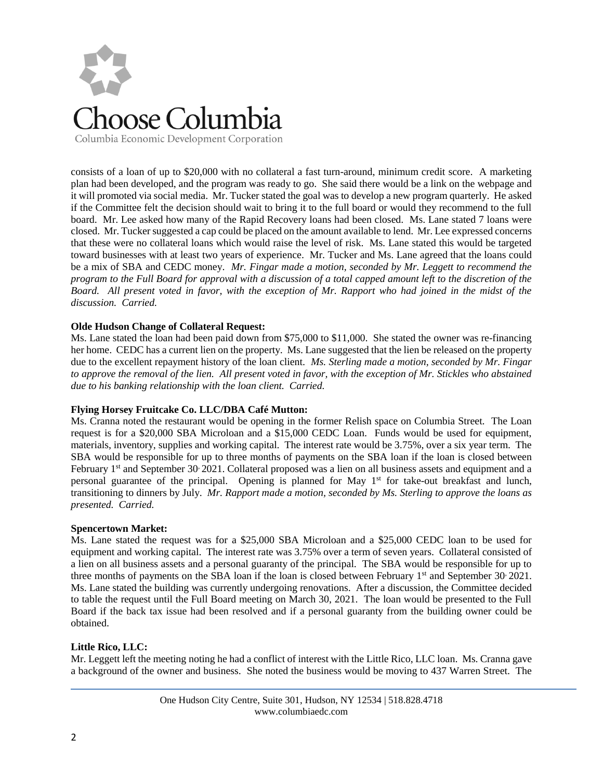

consists of a loan of up to \$20,000 with no collateral a fast turn-around, minimum credit score. A marketing plan had been developed, and the program was ready to go. She said there would be a link on the webpage and it will promoted via social media. Mr. Tucker stated the goal was to develop a new program quarterly. He asked if the Committee felt the decision should wait to bring it to the full board or would they recommend to the full board. Mr. Lee asked how many of the Rapid Recovery loans had been closed. Ms. Lane stated 7 loans were closed. Mr. Tucker suggested a cap could be placed on the amount available to lend. Mr. Lee expressed concerns that these were no collateral loans which would raise the level of risk. Ms. Lane stated this would be targeted toward businesses with at least two years of experience. Mr. Tucker and Ms. Lane agreed that the loans could be a mix of SBA and CEDC money. *Mr. Fingar made a motion, seconded by Mr. Leggett to recommend the program to the Full Board for approval with a discussion of a total capped amount left to the discretion of the Board. All present voted in favor, with the exception of Mr. Rapport who had joined in the midst of the discussion. Carried.* 

### **Olde Hudson Change of Collateral Request:**

Ms. Lane stated the loan had been paid down from \$75,000 to \$11,000. She stated the owner was re-financing her home. CEDC has a current lien on the property. Ms. Lane suggested that the lien be released on the property due to the excellent repayment history of the loan client. *Ms. Sterling made a motion, seconded by Mr. Fingar*  to approve the removal of the lien. All present voted in favor, with the exception of Mr. Stickles who abstained *due to his banking relationship with the loan client. Carried.*

#### **Flying Horsey Fruitcake Co. LLC/DBA Café Mutton:**

Ms. Cranna noted the restaurant would be opening in the former Relish space on Columbia Street. The Loan request is for a \$20,000 SBA Microloan and a \$15,000 CEDC Loan. Funds would be used for equipment, materials, inventory, supplies and working capital. The interest rate would be 3.75%, over a six year term. The SBA would be responsible for up to three months of payments on the SBA loan if the loan is closed between February 1<sup>st</sup> and September 30<sup>,</sup> 2021. Collateral proposed was a lien on all business assets and equipment and a personal guarantee of the principal. Opening is planned for May 1st for take-out breakfast and lunch, transitioning to dinners by July. *Mr. Rapport made a motion, seconded by Ms. Sterling to approve the loans as presented. Carried.*

#### **Spencertown Market:**

Ms. Lane stated the request was for a \$25,000 SBA Microloan and a \$25,000 CEDC loan to be used for equipment and working capital. The interest rate was 3.75% over a term of seven years. Collateral consisted of a lien on all business assets and a personal guaranty of the principal. The SBA would be responsible for up to three months of payments on the SBA loan if the loan is closed between February 1<sup>st</sup> and September 30<sup>,</sup> 2021. Ms. Lane stated the building was currently undergoing renovations. After a discussion, the Committee decided to table the request until the Full Board meeting on March 30, 2021. The loan would be presented to the Full Board if the back tax issue had been resolved and if a personal guaranty from the building owner could be obtained.

## **Little Rico, LLC:**

Mr. Leggett left the meeting noting he had a conflict of interest with the Little Rico, LLC loan. Ms. Cranna gave a background of the owner and business. She noted the business would be moving to 437 Warren Street. The